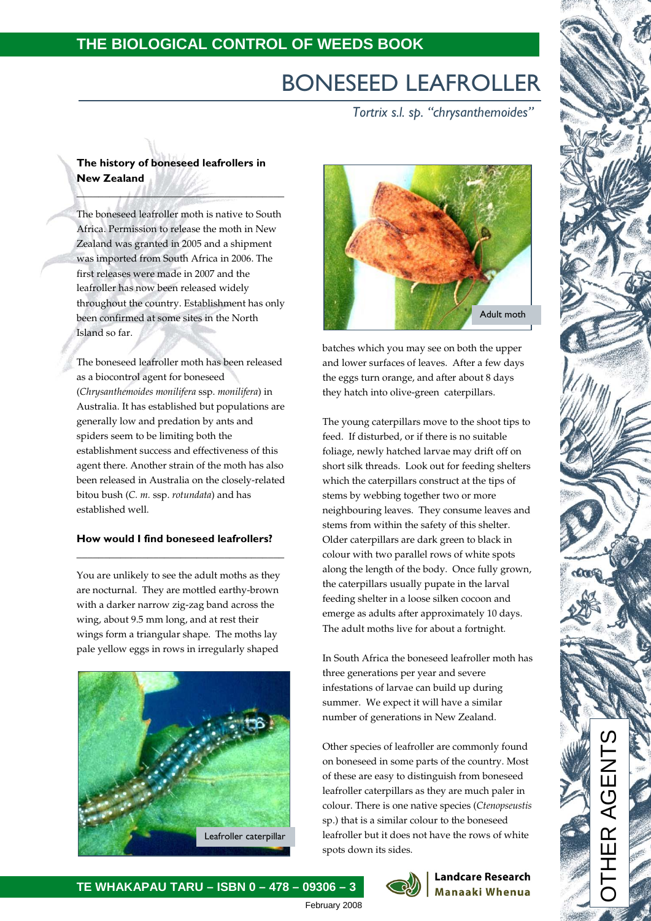# BONESEED LEAFROLLER

*Tortrix s.l. sp. "chrysanthemoides"*

## **The history of boneseed leafrollers in New Zealand**

 $\| \cdot \|_{\infty}$ 

The boneseed leafroller moth is native to South Africa. Permission to release the moth in New Zealand was granted in 2005 and a shipment was imported from South Africa in 2006. The first releases were made in 2007 and the leafroller has now been released widely throughout the country. Establishment has only been confirmed at some sites in the North Island so far.

The boneseed leafroller moth has been released as a biocontrol agent for boneseed (*Chrysanthemoides monilifera* ssp. *monilifera*) in Australia. It has established but populations are generally low and predation by ants and spiders seem to be limiting both the establishment success and effectiveness of this agent there. Another strain of the moth has also been released in Australia on the closely-related bitou bush (*C. m.* ssp. *rotundata*) and has established well.

### **How would I find boneseed leafrollers? \_\_\_\_\_\_\_\_\_\_\_\_\_\_\_\_\_\_\_\_\_\_\_\_\_\_\_\_\_\_\_\_\_\_\_\_\_\_**

You are unlikely to see the adult moths as they are nocturnal. They are mottled earthy-brown with a darker narrow zig-zag band across the wing, about 9.5 mm long, and at rest their wings form a triangular shape. The moths lay pale yellow eggs in rows in irregularly shaped





batches which you may see on both the upper and lower surfaces of leaves. After a few days the eggs turn orange, and after about 8 days they hatch into olive-green caterpillars.

The young caterpillars move to the shoot tips to feed. If disturbed, or if there is no suitable foliage, newly hatched larvae may drift off on short silk threads. Look out for feeding shelters which the caterpillars construct at the tips of stems by webbing together two or more neighbouring leaves. They consume leaves and stems from within the safety of this shelter. Older caterpillars are dark green to black in colour with two parallel rows of white spots along the length of the body. Once fully grown, the caterpillars usually pupate in the larval feeding shelter in a loose silken cocoon and emerge as adults after approximately 10 days. The adult moths live for about a fortnight.

In South Africa the boneseed leafroller moth has three generations per year and severe infestations of larvae can build up during summer. We expect it will have a similar number of generations in New Zealand.

Other species of leafroller are commonly found on boneseed in some parts of the country. Most of these are easy to distinguish from boneseed leafroller caterpillars as they are much paler in colour. There is one native species (*Ctenopseustis* sp.) that is a similar colour to the boneseed leafroller but it does not have the rows of white spots down its sides.



### **Landcare Research Manaaki Whenua**

# **TE WHAKAPAU TARU – ISBN 0 – 478 – 09306 – 3**